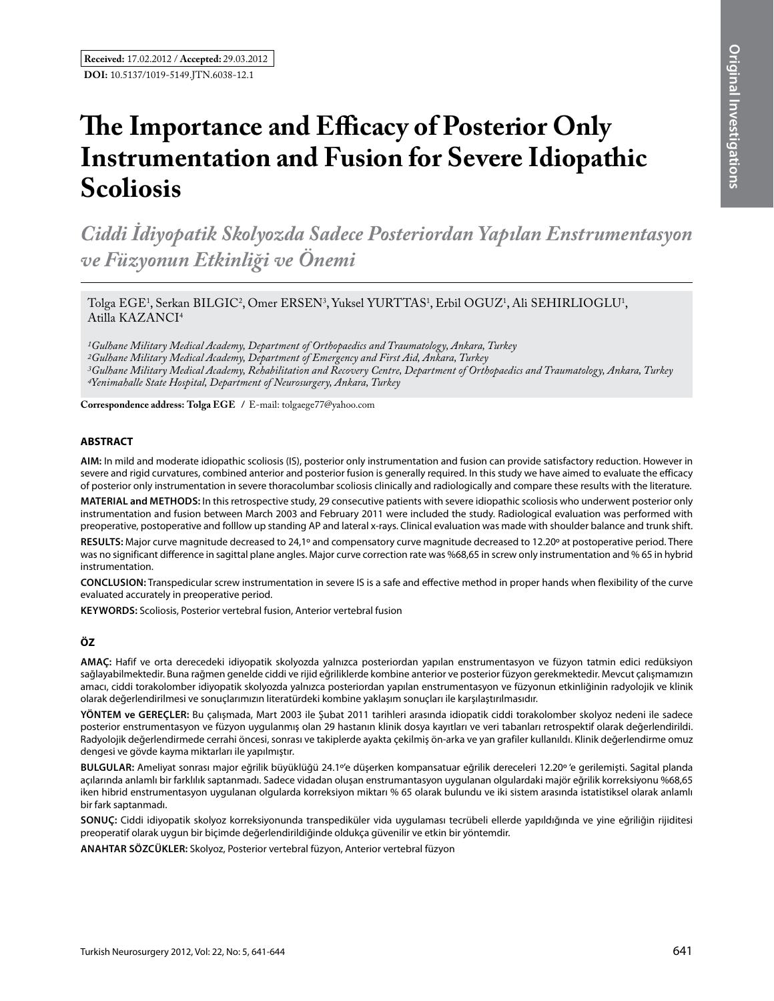# **The Importance and Efficacy of Posterior Only Instrumentation and Fusion for Severe Idiopathic Scoliosis**

*Ciddi İdiyopatik Skolyozda Sadece Posteriordan Yapılan Enstrumentasyon ve Füzyonun Etkinliği ve Önemi* 

Tolga EGE<sup>1</sup>, Serkan BILGIC<sup>2</sup>, Omer ERSEN<sup>3</sup>, Yuksel YURTTAS<sup>1</sup>, Erbil OGUZ<sup>1</sup>, Ali SEHIRLIOGLU<sup>1</sup>, Atilla KAZANCI<sup>4</sup>

*1Gulhane Military Medical Academy, Department of Orthopaedics and Traumatology, Ankara, Turkey 2Gulhane Military Medical Academy, Department of Emergency and First Aid, Ankara, Turkey 3Gulhane Military Medical Academy, Rehabilitation and Recovery Centre, Department of Orthopaedics and Traumatology, Ankara, Turkey 4Yenimahalle State Hospital, Department of Neurosurgery, Ankara, Turkey* 

**Correspondence address: Tolga Ege /** E-mail: tolgaege77@yahoo.com

#### **ABSTRACT**

**AIm:** In mild and moderate idiopathic scoliosis (IS), posterior only instrumentation and fusion can provide satisfactory reduction. However in severe and rigid curvatures, combined anterior and posterior fusion is generally required. In this study we have aimed to evaluate the efficacy of posterior only instrumentation in severe thoracolumbar scoliosis clinically and radiologically and compare these results with the literature.

**MaterIal and Methods:** In this retrospective study, 29 consecutive patients with severe idiopathic scoliosis who underwent posterior only instrumentation and fusion between March 2003 and February 2011 were included the study. Radiological evaluation was performed with preoperative, postoperative and folllow up standing AP and lateral x-rays. Clinical evaluation was made with shoulder balance and trunk shift.

**Results:** Major curve magnitude decreased to 24,1º and compensatory curve magnitude decreased to 12.20º at postoperative period. There was no significant difference in sagittal plane angles. Major curve correction rate was %68,65 in screw only instrumentation and % 65 in hybrid instrumentation.

**ConclusIon:** Transpedicular screw instrumentation in severe IS is a safe and effective method in proper hands when flexibility of the curve evaluated accurately in preoperative period.

**Keywords:** Scoliosis, Posterior vertebral fusion, Anterior vertebral fusion

## **ÖZ**

**AMAÇ:** Hafif ve orta derecedeki idiyopatik skolyozda yalnızca posteriordan yapılan enstrumentasyon ve füzyon tatmin edici redüksiyon sağlayabilmektedir. Buna rağmen genelde ciddi ve rijid eğriliklerde kombine anterior ve posterior füzyon gerekmektedir. Mevcut çalışmamızın amacı, ciddi torakolomber idiyopatik skolyozda yalnızca posteriordan yapılan enstrumentasyon ve füzyonun etkinliğinin radyolojik ve klinik olarak değerlendirilmesi ve sonuçlarımızın literatürdeki kombine yaklaşım sonuçları ile karşılaştırılmasıdır.

**YÖNTEM ve GEREÇLER:** Bu çalışmada, Mart 2003 ile Şubat 2011 tarihleri arasında idiopatik ciddi torakolomber skolyoz nedeni ile sadece posterior enstrumentasyon ve füzyon uygulanmış olan 29 hastanın klinik dosya kayıtları ve veri tabanları retrospektif olarak değerlendirildi. Radyolojik değerlendirmede cerrahi öncesi, sonrası ve takiplerde ayakta çekilmiş ön-arka ve yan grafiler kullanıldı. Klinik değerlendirme omuz dengesi ve gövde kayma miktarları ile yapılmıştır.

**BULGULAR:** Ameliyat sonrası major eğrilik büyüklüğü 24.1º'e düşerken kompansatuar eğrilik dereceleri 12.20º 'e gerilemişti. Sagital planda açılarında anlamlı bir farklılık saptanmadı. Sadece vidadan oluşan enstrumantasyon uygulanan olgulardaki majör eğrilik korreksiyonu %68,65 iken hibrid enstrumentasyon uygulanan olgularda korreksiyon miktarı % 65 olarak bulundu ve iki sistem arasında istatistiksel olarak anlamlı bir fark saptanmadı.

**SONUÇ:** Ciddi idiyopatik skolyoz korreksiyonunda transpediküler vida uygulaması tecrübeli ellerde yapıldığında ve yine eğriliğin rijiditesi preoperatif olarak uygun bir biçimde değerlendirildiğinde oldukça güvenilir ve etkin bir yöntemdir.

**ANAHTAR SÖZCÜKLER:** Skolyoz, Posterior vertebral füzyon, Anterior vertebral füzyon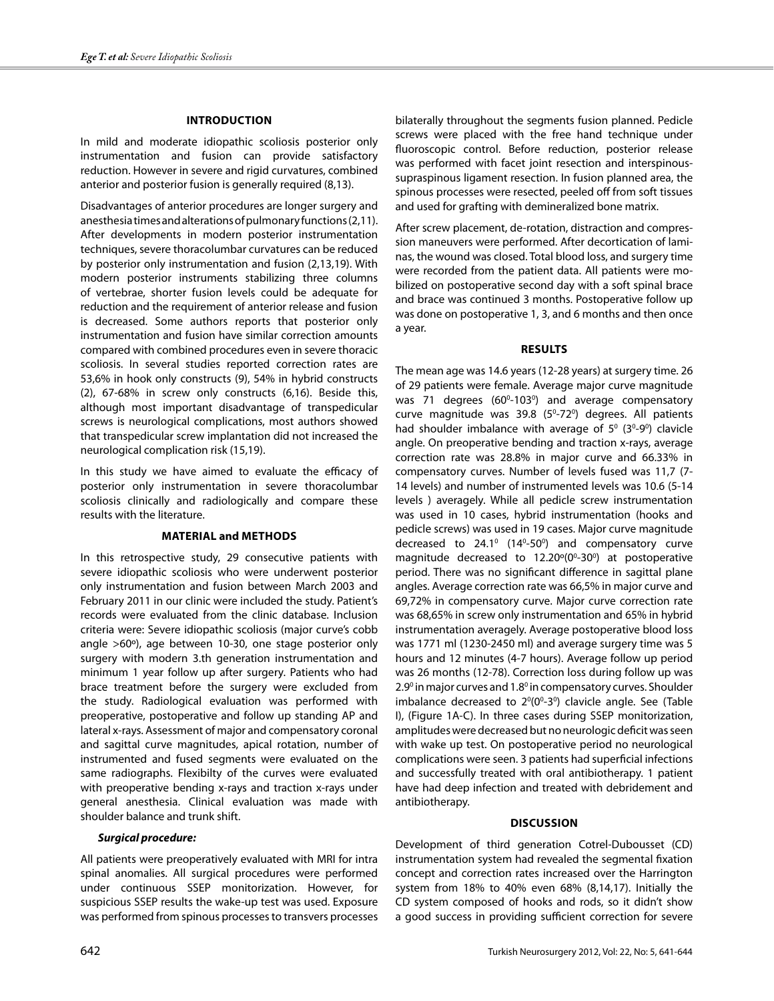#### **Introduction**

In mild and moderate idiopathic scoliosis posterior only instrumentation and fusion can provide satisfactory reduction. However in severe and rigid curvatures, combined anterior and posterior fusion is generally required (8,13).

Disadvantages of anterior procedures are longer surgery and anesthesia times and alterations of pulmonary functions (2,11). After developments in modern posterior instrumentation techniques, severe thoracolumbar curvatures can be reduced by posterior only instrumentation and fusion (2,13,19). With modern posterior instruments stabilizing three columns of vertebrae, shorter fusion levels could be adequate for reduction and the requirement of anterior release and fusion is decreased. Some authors reports that posterior only instrumentation and fusion have similar correction amounts compared with combined procedures even in severe thoracic scoliosis. In several studies reported correction rates are 53,6% in hook only constructs (9), 54% in hybrid constructs (2), 67-68% in screw only constructs (6,16). Beside this, although most important disadvantage of transpedicular screws is neurological complications, most authors showed that transpedicular screw implantation did not increased the neurological complication risk (15,19).

In this study we have aimed to evaluate the efficacy of posterior only instrumentation in severe thoracolumbar scoliosis clinically and radiologically and compare these results with the literature.

## **Material and methods**

In this retrospective study, 29 consecutive patients with severe idiopathic scoliosis who were underwent posterior only instrumentation and fusion between March 2003 and February 2011 in our clinic were included the study. Patient's records were evaluated from the clinic database. Inclusion criteria were: Severe idiopathic scoliosis (major curve's cobb angle >60º), age between 10-30, one stage posterior only surgery with modern 3.th generation instrumentation and minimum 1 year follow up after surgery. Patients who had brace treatment before the surgery were excluded from the study. Radiological evaluation was performed with preoperative, postoperative and follow up standing AP and lateral x-rays. Assessment of major and compensatory coronal and sagittal curve magnitudes, apical rotation, number of instrumented and fused segments were evaluated on the same radiographs. Flexibilty of the curves were evaluated with preoperative bending x-rays and traction x-rays under general anesthesia. Clinical evaluation was made with shoulder balance and trunk shift.

#### *Surgical procedure:*

All patients were preoperatively evaluated with MRI for intra spinal anomalies. All surgical procedures were performed under continuous SSEP monitorization. However, for suspicious SSEP results the wake-up test was used. Exposure was performed from spinous processes to transvers processes bilaterally throughout the segments fusion planned. Pedicle screws were placed with the free hand technique under fluoroscopic control. Before reduction, posterior release was performed with facet joint resection and interspinoussupraspinous ligament resection. In fusion planned area, the spinous processes were resected, peeled off from soft tissues and used for grafting with demineralized bone matrix.

After screw placement, de-rotation, distraction and compression maneuvers were performed. After decortication of laminas, the wound was closed. Total blood loss, and surgery time were recorded from the patient data. All patients were mobilized on postoperative second day with a soft spinal brace and brace was continued 3 months. Postoperative follow up was done on postoperative 1, 3, and 6 months and then once a year.

### **Results**

The mean age was 14.6 years (12-28 years) at surgery time. 26 of 29 patients were female. Average major curve magnitude was 71 degrees  $(60^{\circ}-103^{\circ})$  and average compensatory curve magnitude was  $39.8$  ( $5^{\circ}$ -72 $^{\circ}$ ) degrees. All patients had shoulder imbalance with average of  $5^{\circ}$  (3<sup>0</sup>-9<sup>0</sup>) clavicle angle. On preoperative bending and traction x-rays, average correction rate was 28.8% in major curve and 66.33% in compensatory curves. Number of levels fused was 11,7 (7- 14 levels) and number of instrumented levels was 10.6 (5-14 levels ) averagely. While all pedicle screw instrumentation was used in 10 cases, hybrid instrumentation (hooks and pedicle screws) was used in 19 cases. Major curve magnitude decreased to  $24.1^{\circ}$  (14<sup>°</sup>-50<sup>°</sup>) and compensatory curve magnitude decreased to  $12.20^{\circ}(0^{\circ}-30^{\circ})$  at postoperative period. There was no significant difference in sagittal plane angles. Average correction rate was 66,5% in major curve and 69,72% in compensatory curve. Major curve correction rate was 68,65% in screw only instrumentation and 65% in hybrid instrumentation averagely. Average postoperative blood loss was 1771 ml (1230-2450 ml) and average surgery time was 5 hours and 12 minutes (4-7 hours). Average follow up period was 26 months (12-78). Correction loss during follow up was 2.9<sup>0</sup> in major curves and 1.8<sup>0</sup> in compensatory curves. Shoulder imbalance decreased to  $2^0(0^0-3^0)$  clavicle angle. See (Table I), (Figure 1A-C). In three cases during SSEP monitorization, amplitudes were decreased but no neurologic deficit was seen with wake up test. On postoperative period no neurological complications were seen. 3 patients had superficial infections and successfully treated with oral antibiotherapy. 1 patient have had deep infection and treated with debridement and antibiotherapy.

## **Discussion**

Development of third generation Cotrel-Dubousset (CD) instrumentation system had revealed the segmental fixation concept and correction rates increased over the Harrington system from 18% to 40% even 68% (8,14,17). Initially the CD system composed of hooks and rods, so it didn't show a good success in providing sufficient correction for severe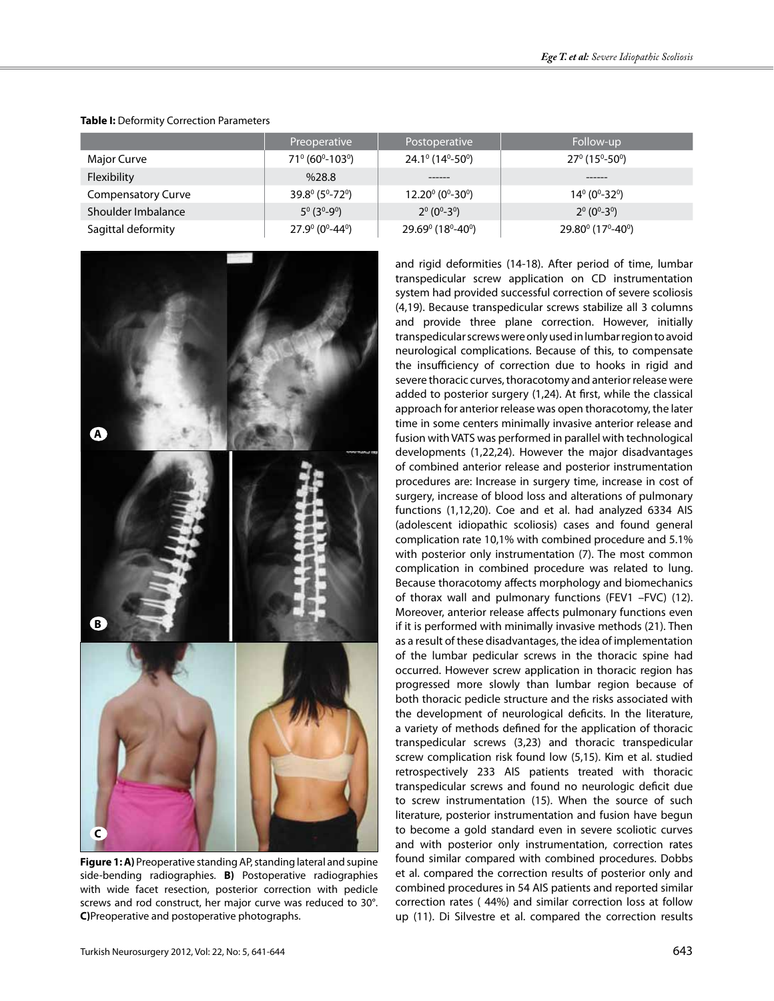|                           | Preoperative                                      | Postoperative                                       | Follow-up                                              |
|---------------------------|---------------------------------------------------|-----------------------------------------------------|--------------------------------------------------------|
| Major Curve               | $71^{\circ}$ (60 <sup>o</sup> -103 <sup>o</sup> ) | $24.1^{\circ}$ (14 <sup>o</sup> -50 <sup>o</sup> )  | $27^{\circ}$ (15°-50°)                                 |
| Flexibility               | %28.8                                             |                                                     |                                                        |
| <b>Compensatory Curve</b> | $39.8^{\circ}$ (5 <sup>o</sup> -72 <sup>o</sup> ) | $12.20^{\circ}$ (0 <sup>o</sup> -30 <sup>o</sup> )  | $14^{\circ}$ (0 <sup>°</sup> -32 <sup>°</sup> )        |
| Shoulder Imbalance        | $5^{\circ}$ (3 <sup>0</sup> -9 <sup>0</sup> )     | $2^0$ (0 <sup>0</sup> -3 <sup>0</sup> )             | $2^0$ (0 <sup>0</sup> -3 <sup>0</sup> )                |
| Sagittal deformity        | $27.9^{\circ}$ (0 <sup>0</sup> -44 <sup>0</sup> ) | $29.69^{\circ}$ (18 <sup>°</sup> -40 <sup>°</sup> ) | 29.80 <sup>°</sup> (17 <sup>°</sup> -40 <sup>°</sup> ) |

#### **Table I:** Deformity Correction Parameters



**Figure 1: A)** Preoperative standing AP, standing lateral and supine side-bending radiographies. **B)** Postoperative radiographies with wide facet resection, posterior correction with pedicle screws and rod construct, her major curve was reduced to 30°. **C)**Preoperative and postoperative photographs.

and rigid deformities (14-18). After period of time, lumbar transpedicular screw application on CD instrumentation system had provided successful correction of severe scoliosis (4,19). Because transpedicular screws stabilize all 3 columns and provide three plane correction. However, initially transpedicular screws were only used in lumbar region to avoid neurological complications. Because of this, to compensate the insufficiency of correction due to hooks in rigid and severe thoracic curves, thoracotomy and anterior release were added to posterior surgery (1,24). At first, while the classical approach for anterior release was open thoracotomy, the later time in some centers minimally invasive anterior release and fusion with VATS was performed in parallel with technological developments (1,22,24). However the major disadvantages of combined anterior release and posterior instrumentation procedures are: Increase in surgery time, increase in cost of surgery, increase of blood loss and alterations of pulmonary functions (1,12,20). Coe and et al. had analyzed 6334 AIS (adolescent idiopathic scoliosis) cases and found general complication rate 10,1% with combined procedure and 5.1% with posterior only instrumentation (7). The most common complication in combined procedure was related to lung. Because thoracotomy affects morphology and biomechanics of thorax wall and pulmonary functions (FEV1 –FVC) (12). Moreover, anterior release affects pulmonary functions even if it is performed with minimally invasive methods (21). Then as a result of these disadvantages, the idea of implementation of the lumbar pedicular screws in the thoracic spine had occurred. However screw application in thoracic region has progressed more slowly than lumbar region because of both thoracic pedicle structure and the risks associated with the development of neurological deficits. In the literature, a variety of methods defined for the application of thoracic transpedicular screws (3,23) and thoracic transpedicular screw complication risk found low (5,15). Kim et al. studied retrospectively 233 AIS patients treated with thoracic transpedicular screws and found no neurologic deficit due to screw instrumentation (15). When the source of such literature, posterior instrumentation and fusion have begun to become a gold standard even in severe scoliotic curves and with posterior only instrumentation, correction rates found similar compared with combined procedures. Dobbs et al. compared the correction results of posterior only and combined procedures in 54 AIS patients and reported similar correction rates ( 44%) and similar correction loss at follow up (11). Di Silvestre et al. compared the correction results